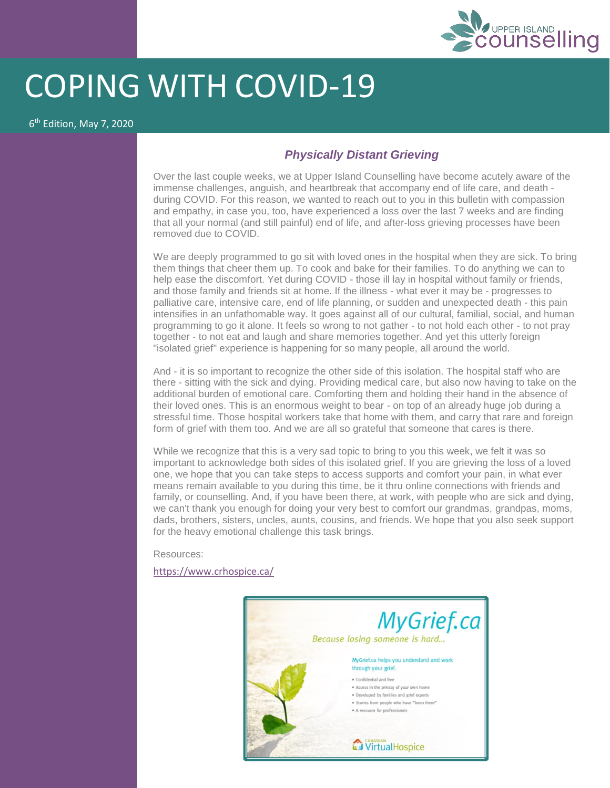

## COPING WITH COVID-19

6 th Edition, May 7, 2020

## *Physically Distant Grieving*

Over the last couple weeks, we at Upper Island Counselling have become acutely aware of the immense challenges, anguish, and heartbreak that accompany end of life care, and death during COVID. For this reason, we wanted to reach out to you in this bulletin with compassion and empathy, in case you, too, have experienced a loss over the last 7 weeks and are finding that all your normal (and still painful) end of life, and after-loss grieving processes have been removed due to COVID.

We are deeply programmed to go sit with loved ones in the hospital when they are sick. To bring them things that cheer them up. To cook and bake for their families. To do anything we can to help ease the discomfort. Yet during COVID - those ill lay in hospital without family or friends, and those family and friends sit at home. If the illness - what ever it may be - progresses to palliative care, intensive care, end of life planning, or sudden and unexpected death - this pain intensifies in an unfathomable way. It goes against all of our cultural, familial, social, and human programming to go it alone. It feels so wrong to not gather - to not hold each other - to not pray together - to not eat and laugh and share memories together. And yet this utterly foreign "isolated grief" experience is happening for so many people, all around the world.

And - it is so important to recognize the other side of this isolation. The hospital staff who are there - sitting with the sick and dying. Providing medical care, but also now having to take on the additional burden of emotional care. Comforting them and holding their hand in the absence of their loved ones. This is an enormous weight to bear - on top of an already huge job during a stressful time. Those hospital workers take that home with them, and carry that rare and foreign form of grief with them too. And we are all so grateful that someone that cares is there.

While we recognize that this is a very sad topic to bring to you this week, we felt it was so important to acknowledge both sides of this isolated grief. If you are grieving the loss of a loved one, we hope that you can take steps to access supports and comfort your pain, in what ever means remain available to you during this time, be it thru online connections with friends and family, or counselling. And, if you have been there, at work, with people who are sick and dying, we can't thank you enough for doing your very best to comfort our grandmas, grandpas, moms, dads, brothers, sisters, uncles, aunts, cousins, and friends. We hope that you also seek support for the heavy emotional challenge this task brings.

Resources:

<https://www.crhospice.ca/>